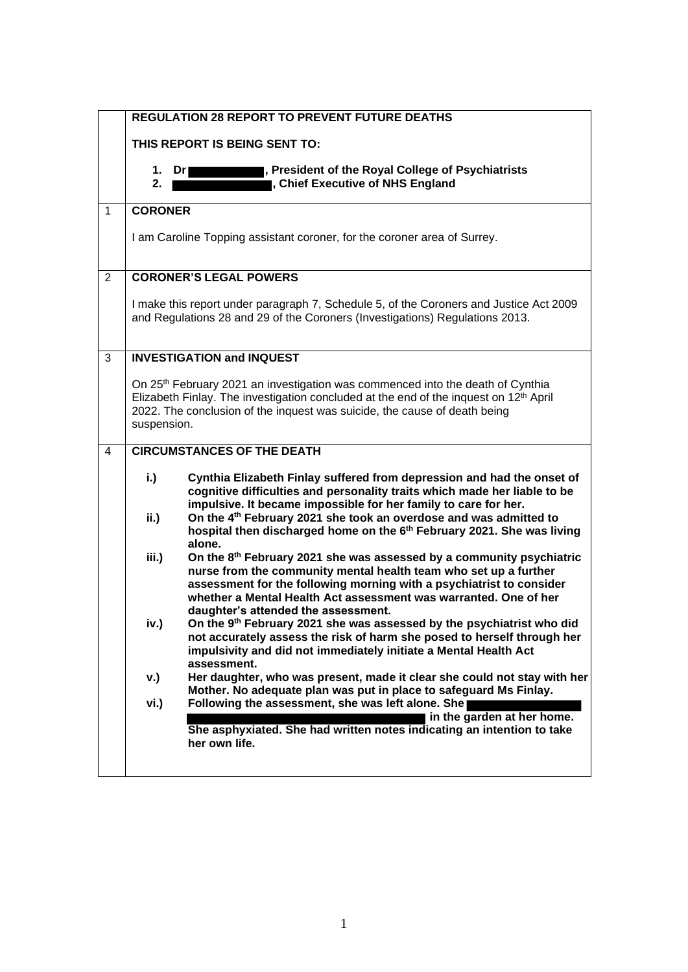|                | <b>REGULATION 28 REPORT TO PREVENT FUTURE DEATHS</b>                                                                                                                                                                                                                                                                                 |                            |
|----------------|--------------------------------------------------------------------------------------------------------------------------------------------------------------------------------------------------------------------------------------------------------------------------------------------------------------------------------------|----------------------------|
|                | THIS REPORT IS BEING SENT TO:                                                                                                                                                                                                                                                                                                        |                            |
|                | , President of the Royal College of Psychiatrists<br>1.<br>Dri<br>, Chief Executive of NHS England<br>2.                                                                                                                                                                                                                             |                            |
| $\mathbf{1}$   | <b>CORONER</b>                                                                                                                                                                                                                                                                                                                       |                            |
|                | I am Caroline Topping assistant coroner, for the coroner area of Surrey.                                                                                                                                                                                                                                                             |                            |
| $\overline{2}$ | <b>CORONER'S LEGAL POWERS</b>                                                                                                                                                                                                                                                                                                        |                            |
|                | I make this report under paragraph 7, Schedule 5, of the Coroners and Justice Act 2009<br>and Regulations 28 and 29 of the Coroners (Investigations) Regulations 2013.                                                                                                                                                               |                            |
| 3              | <b>INVESTIGATION and INQUEST</b>                                                                                                                                                                                                                                                                                                     |                            |
|                | On 25 <sup>th</sup> February 2021 an investigation was commenced into the death of Cynthia<br>Elizabeth Finlay. The investigation concluded at the end of the inquest on 12 <sup>th</sup> April<br>2022. The conclusion of the inquest was suicide, the cause of death being<br>suspension.                                          |                            |
| 4              | <b>CIRCUMSTANCES OF THE DEATH</b>                                                                                                                                                                                                                                                                                                    |                            |
|                | Cynthia Elizabeth Finlay suffered from depression and had the onset of<br>i.)<br>cognitive difficulties and personality traits which made her liable to be<br>impulsive. It became impossible for her family to care for her.                                                                                                        |                            |
|                | On the 4 <sup>th</sup> February 2021 she took an overdose and was admitted to<br>ii.<br>hospital then discharged home on the 6 <sup>th</sup> February 2021. She was living<br>alone.                                                                                                                                                 |                            |
|                | On the 8th February 2021 she was assessed by a community psychiatric<br>iii.)<br>nurse from the community mental health team who set up a further<br>assessment for the following morning with a psychiatrist to consider<br>whether a Mental Health Act assessment was warranted. One of her<br>daughter's attended the assessment. |                            |
|                | On the 9th February 2021 she was assessed by the psychiatrist who did<br>iv.)<br>not accurately assess the risk of harm she posed to herself through her<br>impulsivity and did not immediately initiate a Mental Health Act<br>assessment.                                                                                          |                            |
|                | Her daughter, who was present, made it clear she could not stay with her<br>v.)<br>Mother. No adequate plan was put in place to safeguard Ms Finlay.                                                                                                                                                                                 |                            |
|                | Following the assessment, she was left alone. She<br>vi.)<br>She asphyxiated. She had written notes indicating an intention to take<br>her own life.                                                                                                                                                                                 | in the garden at her home. |
|                |                                                                                                                                                                                                                                                                                                                                      |                            |